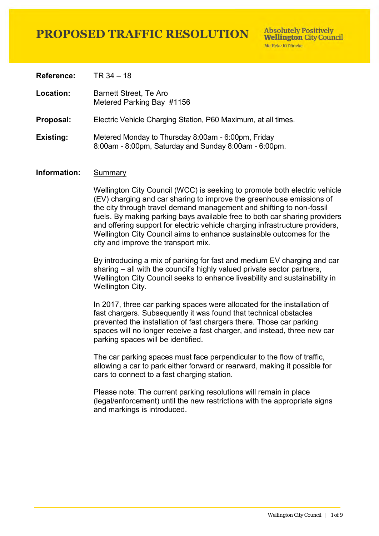**Absolutely Positively Wellington City Council** Me Heke Ki Pôneke

**Reference:** TR 34 – 18

**Location:** Barnett Street, Te Aro Metered Parking Bay #1156

**Proposal:** Electric Vehicle Charging Station, P60 Maximum, at all times.

#### **Existing:** Metered Monday to Thursday 8:00am - 6:00pm, Friday 8:00am - 8:00pm, Saturday and Sunday 8:00am - 6:00pm.

### **Information:** Summary

Wellington City Council (WCC) is seeking to promote both electric vehicle (EV) charging and car sharing to improve the greenhouse emissions of the city through travel demand management and shifting to non-fossil fuels. By making parking bays available free to both car sharing providers and offering support for electric vehicle charging infrastructure providers, Wellington City Council aims to enhance sustainable outcomes for the city and improve the transport mix.

By introducing a mix of parking for fast and medium EV charging and car sharing – all with the council's highly valued private sector partners, Wellington City Council seeks to enhance liveability and sustainability in Wellington City.

In 2017, three car parking spaces were allocated for the installation of fast chargers. Subsequently it was found that technical obstacles prevented the installation of fast chargers there. Those car parking spaces will no longer receive a fast charger, and instead, three new car parking spaces will be identified.

The car parking spaces must face perpendicular to the flow of traffic, allowing a car to park either forward or rearward, making it possible for cars to connect to a fast charging station.

Please note: The current parking resolutions will remain in place (legal/enforcement) until the new restrictions with the appropriate signs and markings is introduced.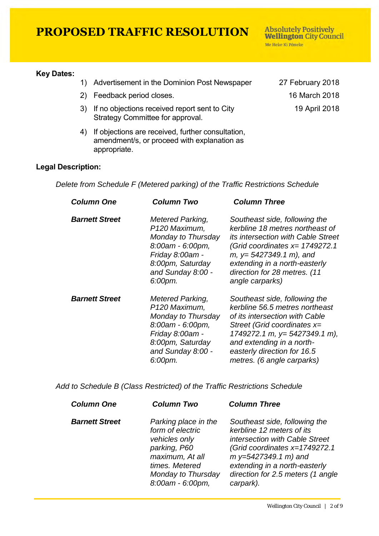#### **Key Dates:**

- 1) Advertisement in the Dominion Post Newspaper 27 February 2018
- 2) Feedback period closes. 16 March 2018
- 3) If no objections received report sent to City Strategy Committee for approval.
- 4) If objections are received, further consultation, amendment/s, or proceed with explanation as appropriate.

19 April 2018

**Absolutely Positively Wellington City Council** 

Me Heke Ki Pôneke

### **Legal Description:**

*Delete from Schedule F (Metered parking) of the Traffic Restrictions Schedule* 

| <b>Column One</b>     | Column Two                                                                                                                                                            | <b>Column Three</b>                                                                                                                                                                                                                                              |  |
|-----------------------|-----------------------------------------------------------------------------------------------------------------------------------------------------------------------|------------------------------------------------------------------------------------------------------------------------------------------------------------------------------------------------------------------------------------------------------------------|--|
| <b>Barnett Street</b> | <b>Metered Parking,</b><br>P <sub>120</sub> Maximum,<br>Monday to Thursday<br>8:00am - 6:00pm,<br>Friday 8:00am -<br>8:00pm, Saturday<br>and Sunday 8:00 -<br>6:00pm. | Southeast side, following the<br>kerbline 18 metres northeast of<br><i>its intersection with Cable Street</i><br>(Grid coordinates $x=1749272.1$<br>$m, y=5427349.1 m$ , and<br>extending in a north-easterly<br>direction for 28 metres. (11<br>angle carparks) |  |
| <b>Barnett Street</b> | Metered Parking,<br>P120 Maximum,<br>Monday to Thursday<br>$8:00$ am - $6:00$ pm,<br>Friday 8:00am -<br>8:00pm, Saturday<br>and Sunday 8:00 -<br>6:00pm.              | Southeast side, following the<br>kerbline 56.5 metres northeast<br>of its intersection with Cable<br>Street (Grid coordinates $x=$<br>1749272.1 m, y= 5427349.1 m),<br>and extending in a north-<br>easterly direction for 16.5<br>metres. (6 angle carparks)    |  |

*Add to Schedule B (Class Restricted) of the Traffic Restrictions Schedule* 

| <b>Column One</b>     | <b>Column Two</b>                                                                                                                                        | <b>Column Three</b>                                                                                                                                                                                                                         |
|-----------------------|----------------------------------------------------------------------------------------------------------------------------------------------------------|---------------------------------------------------------------------------------------------------------------------------------------------------------------------------------------------------------------------------------------------|
| <b>Barnett Street</b> | Parking place in the<br>form of electric<br>vehicles only<br>parking, P60<br>maximum, At all<br>times. Metered<br>Monday to Thursday<br>8:00am - 6:00pm, | Southeast side, following the<br>kerbline 12 meters of its<br>intersection with Cable Street<br>(Grid coordinates x=1749272.1)<br>$m y=5427349.1 m)$ and<br>extending in a north-easterly<br>direction for 2.5 meters (1 angle<br>carpark). |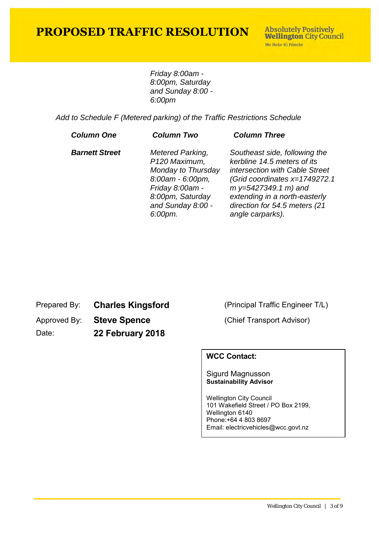**Absolutely Positively Wellington City Council** Me Heke Ki Põneke

*Friday 8:00am - 8:00pm, Saturday and Sunday 8:00 - 6:00pm*

*Add to Schedule F (Metered parking) of the Traffic Restrictions Schedule* 

| <b>Column One</b>     | <b>Column Two</b>                                                                                                                                         | <b>Column Three</b>                                                                                                                                                                                                                             |
|-----------------------|-----------------------------------------------------------------------------------------------------------------------------------------------------------|-------------------------------------------------------------------------------------------------------------------------------------------------------------------------------------------------------------------------------------------------|
| <b>Barnett Street</b> | <b>Metered Parking,</b><br>P120 Maximum,<br>Monday to Thursday<br>8:00am - 6:00pm,<br>Friday 8:00am -<br>8:00pm, Saturday<br>and Sunday 8:00 -<br>6:00pm. | Southeast side, following the<br>kerbline 14.5 meters of its<br>intersection with Cable Street<br>(Grid coordinates x=1749272.1<br>$m y=5427349.1 m)$ and<br>extending in a north-easterly<br>direction for 54.5 meters (21<br>angle carparks). |
|                       |                                                                                                                                                           |                                                                                                                                                                                                                                                 |

Prepared By: **Charles Kingsford** (Principal Traffic Engineer T/L)

Approved By: **Steve Spence** (Chief Transport Advisor)

Date: **22 February 2018**

### **WCC Contact:**

### Sigurd Magnusson **Sustainability Advisor**

Wellington City Council 101 Wakefield Street / PO Box 2199, Wellington 6140 Phone:+64 4 803 8697 Email: electricvehicles@wcc.govt.nz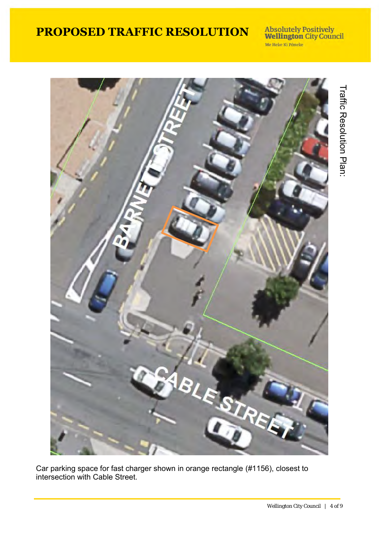**Absolutely Positively<br>Wellington City Council** Me Heke Ki Põneke



Car parking space for fast charger shown in orange rectangle (#1156), closest to intersection with Cable Street.